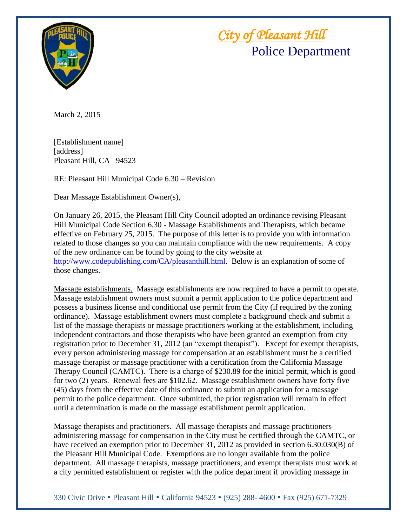

 *City of Pleasant Hill* Police Department

March 2, 2015

[Establishment name] [address] Pleasant Hill, CA 94523

RE: Pleasant Hill Municipal Code 6.30 – Revision

Dear Massage Establishment Owner(s),

On January 26, 2015, the Pleasant Hill City Council adopted an ordinance revising Pleasant Hill Municipal Code Section 6.30 - Massage Establishments and Therapists, which became effective on February 25, 2015. The purpose of this letter is to provide you with information related to those changes so you can maintain compliance with the new requirements. A copy of the new ordinance can be found by going to the city website at [http://www.codepublishing.com/CA/pleasanthill.html.](http://www.codepublishing.com/CA/pleasanthill.html) Below is an explanation of some of those changes.

Massage establishments. Massage establishments are now required to have a permit to operate. Massage establishment owners must submit a permit application to the police department and possess a business license and conditional use permit from the City (if required by the zoning ordinance). Massage establishment owners must complete a background check and submit a list of the massage therapists or massage practitioners working at the establishment, including independent contractors and those therapists who have been granted an exemption from city registration prior to December 31, 2012 (an "exempt therapist"). Except for exempt therapists, every person administering massage for compensation at an establishment must be a certified massage therapist or massage practitioner with a certification from the California Massage Therapy Council (CAMTC). There is a charge of \$230.89 for the initial permit, which is good for two (2) years. Renewal fees are \$102.62. Massage establishment owners have forty five (45) days from the effective date of this ordinance to submit an application for a massage permit to the police department. Once submitted, the prior registration will remain in effect until a determination is made on the massage establishment permit application.

Massage therapists and practitioners. All massage therapists and massage practitioners administering massage for compensation in the City must be certified through the CAMTC, or have received an exemption prior to December 31, 2012 as provided in section 6.30.030(B) of the Pleasant Hill Municipal Code. Exemptions are no longer available from the police department. All massage therapists, massage practitioners, and exempt therapists must work at a city permitted establishment or register with the police department if providing massage in